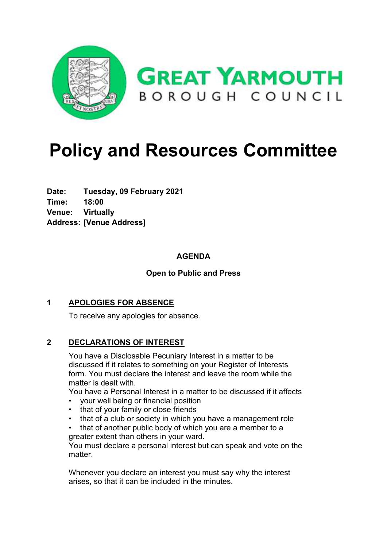

# **Policy and Resources Committee**

**Date: Tuesday, 09 February 2021 Time: 18:00 Venue: Virtually Address: [Venue Address]**

#### **AGENDA**

#### **Open to Public and Press**

#### **1 APOLOGIES FOR ABSENCE**

To receive any apologies for absence.

#### **2 DECLARATIONS OF INTEREST**

You have a Disclosable Pecuniary Interest in a matter to be discussed if it relates to something on your Register of Interests form. You must declare the interest and leave the room while the matter is dealt with.

You have a Personal Interest in a matter to be discussed if it affects

- your well being or financial position
- that of your family or close friends
- that of a club or society in which you have a management role
- that of another public body of which you are a member to a greater extent than others in your ward.

You must declare a personal interest but can speak and vote on the matter.

Whenever you declare an interest you must say why the interest arises, so that it can be included in the minutes.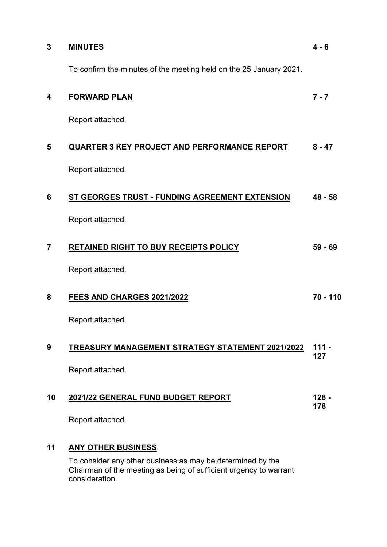| 3              | <b>MINUTES</b>                                                     | $4 - 6$        |
|----------------|--------------------------------------------------------------------|----------------|
|                | To confirm the minutes of the meeting held on the 25 January 2021. |                |
| 4              | <b>FORWARD PLAN</b>                                                | $7 - 7$        |
|                | Report attached.                                                   |                |
| 5              | <b>QUARTER 3 KEY PROJECT AND PERFORMANCE REPORT</b>                | $8 - 47$       |
|                | Report attached.                                                   |                |
| 6              | ST GEORGES TRUST - FUNDING AGREEMENT EXTENSION                     | $48 - 58$      |
|                | Report attached.                                                   |                |
| $\overline{7}$ | <b>RETAINED RIGHT TO BUY RECEIPTS POLICY</b>                       | $59 - 69$      |
|                | Report attached.                                                   |                |
| 8              | FEES AND CHARGES 2021/2022                                         | $70 - 110$     |
|                | Report attached.                                                   |                |
| 9              | TREASURY MANAGEMENT STRATEGY STATEMENT 2021/2022                   | $111 -$<br>127 |
|                | Report attached.                                                   |                |
| 10             | 2021/22 GENERAL FUND BUDGET REPORT                                 | $128 -$<br>178 |
|                | Report attached.                                                   |                |
| 11             | <b>ANY OTHER BUSINESS</b>                                          |                |

To consider any other business as may be determined by the Chairman of the meeting as being of sufficient urgency to warrant consideration.